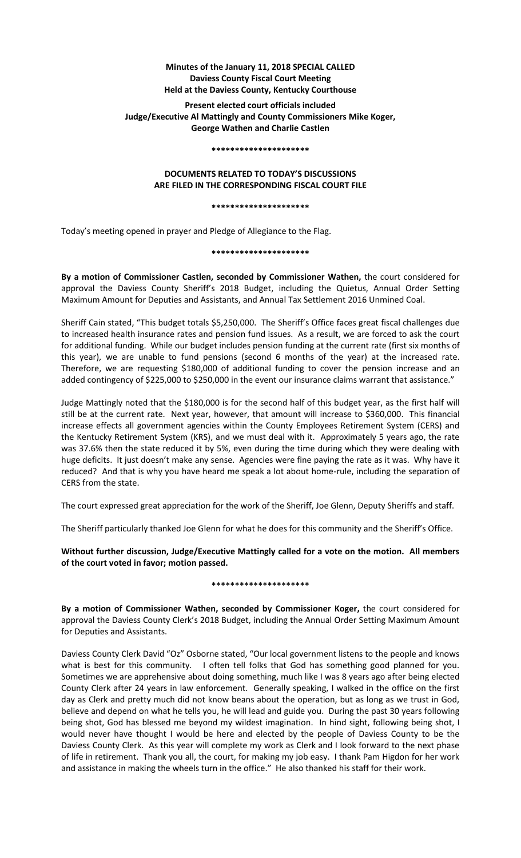# **Minutes of the January 11, 2018 SPECIAL CALLED Daviess County Fiscal Court Meeting Held at the Daviess County, Kentucky Courthouse**

## **Present elected court officials included Judge/Executive Al Mattingly and County Commissioners Mike Koger, George Wathen and Charlie Castlen**

#### **\*\*\*\*\*\*\*\*\*\*\*\*\*\*\*\*\*\*\*\*\***

## **DOCUMENTS RELATED TO TODAY'S DISCUSSIONS ARE FILED IN THE CORRESPONDING FISCAL COURT FILE**

#### **\*\*\*\*\*\*\*\*\*\*\*\*\*\*\*\*\*\*\*\*\***

Today's meeting opened in prayer and Pledge of Allegiance to the Flag.

### **\*\*\*\*\*\*\*\*\*\*\*\*\*\*\*\*\*\*\*\*\***

**By a motion of Commissioner Castlen, seconded by Commissioner Wathen,** the court considered for approval the Daviess County Sheriff's 2018 Budget, including the Quietus, Annual Order Setting Maximum Amount for Deputies and Assistants, and Annual Tax Settlement 2016 Unmined Coal.

Sheriff Cain stated, "This budget totals \$5,250,000. The Sheriff's Office faces great fiscal challenges due to increased health insurance rates and pension fund issues. As a result, we are forced to ask the court for additional funding. While our budget includes pension funding at the current rate (first six months of this year), we are unable to fund pensions (second 6 months of the year) at the increased rate. Therefore, we are requesting \$180,000 of additional funding to cover the pension increase and an added contingency of \$225,000 to \$250,000 in the event our insurance claims warrant that assistance."

Judge Mattingly noted that the \$180,000 is for the second half of this budget year, as the first half will still be at the current rate. Next year, however, that amount will increase to \$360,000. This financial increase effects all government agencies within the County Employees Retirement System (CERS) and the Kentucky Retirement System (KRS), and we must deal with it. Approximately 5 years ago, the rate was 37.6% then the state reduced it by 5%, even during the time during which they were dealing with huge deficits. It just doesn't make any sense. Agencies were fine paying the rate as it was. Why have it reduced? And that is why you have heard me speak a lot about home-rule, including the separation of CERS from the state.

The court expressed great appreciation for the work of the Sheriff, Joe Glenn, Deputy Sheriffs and staff.

The Sheriff particularly thanked Joe Glenn for what he does for this community and the Sheriff's Office.

**Without further discussion, Judge/Executive Mattingly called for a vote on the motion. All members of the court voted in favor; motion passed.** 

### **\*\*\*\*\*\*\*\*\*\*\*\*\*\*\*\*\*\*\*\*\***

**By a motion of Commissioner Wathen, seconded by Commissioner Koger,** the court considered for approval the Daviess County Clerk's 2018 Budget, including the Annual Order Setting Maximum Amount for Deputies and Assistants.

Daviess County Clerk David "Oz" Osborne stated, "Our local government listens to the people and knows what is best for this community. I often tell folks that God has something good planned for you. Sometimes we are apprehensive about doing something, much like I was 8 years ago after being elected County Clerk after 24 years in law enforcement. Generally speaking, I walked in the office on the first day as Clerk and pretty much did not know beans about the operation, but as long as we trust in God, believe and depend on what he tells you, he will lead and guide you. During the past 30 years following being shot, God has blessed me beyond my wildest imagination. In hind sight, following being shot, I would never have thought I would be here and elected by the people of Daviess County to be the Daviess County Clerk. As this year will complete my work as Clerk and I look forward to the next phase of life in retirement. Thank you all, the court, for making my job easy. I thank Pam Higdon for her work and assistance in making the wheels turn in the office." He also thanked his staff for their work.